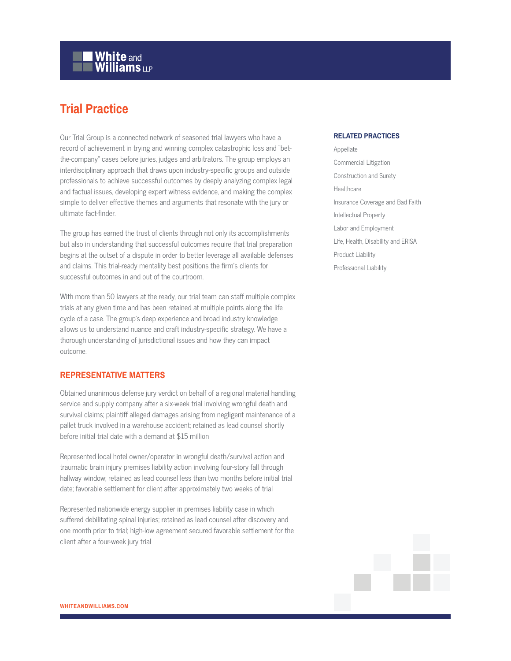## **White and Williams LLP**

## **Trial Practice**

Our Trial Group is a connected network of seasoned trial lawyers who have a record of achievement in trying and winning complex catastrophic loss and "betthe-company" cases before juries, judges and arbitrators. The group employs an interdisciplinary approach that draws upon industry-specific groups and outside professionals to achieve successful outcomes by deeply analyzing complex legal and factual issues, developing expert witness evidence, and making the complex simple to deliver effective themes and arguments that resonate with the jury or ultimate fact-finder.

The group has earned the trust of clients through not only its accomplishments but also in understanding that successful outcomes require that trial preparation begins at the outset of a dispute in order to better leverage all available defenses and claims. This trial-ready mentality best positions the firm's clients for successful outcomes in and out of the courtroom.

With more than 50 lawyers at the ready, our trial team can staff multiple complex trials at any given time and has been retained at multiple points along the life cycle of a case. The group's deep experience and broad industry knowledge allows us to understand nuance and craft industry-specific strategy. We have a thorough understanding of jurisdictional issues and how they can impact outcome.

## **REPRESENTATIVE MATTERS**

Obtained unanimous defense jury verdict on behalf of a regional material handling service and supply company after a six-week trial involving wrongful death and survival claims; plaintiff alleged damages arising from negligent maintenance of a pallet truck involved in a warehouse accident; retained as lead counsel shortly before initial trial date with a demand at \$15 million

Represented local hotel owner/operator in wrongful death/survival action and traumatic brain injury premises liability action involving four-story fall through hallway window; retained as lead counsel less than two months before initial trial date; favorable settlement for client after approximately two weeks of trial

Represented nationwide energy supplier in premises liability case in which suffered debilitating spinal injuries; retained as lead counsel after discovery and one month prior to trial; high-low agreement secured favorable settlement for the client after a four-week jury trial

## **RELATED PRACTICES**

Appellate Commercial Litigation Construction and Surety Healthcare Insurance Coverage and Bad Faith Intellectual Property Labor and Employment Life, Health, Disability and ERISA Product Liability Professional Liability